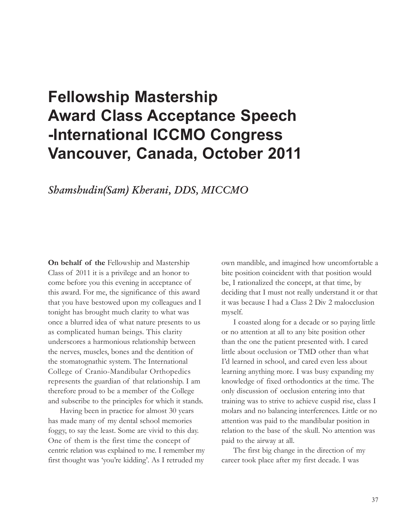## **Fellowship Mastership Award Class Acceptance Speech -International ICCMO Congress Vancouver, Canada, October 2011**

## **Shamshudin(Sam) Kherani, DDS, MICCMO**

**On behalf of the** Fellowship and Mastership Class of 2011 it is a privilege and an honor to come before you this evening in acceptance of this award. For me, the significance of this award that you have bestowed upon my colleagues and I tonight has brought much clarity to what was once a blurred idea of what nature presents to us as complicated human beings. This clarity underscores a harmonious relationship between the nerves, muscles, bones and the dentition of the stomatognathic system. The International College of Cranio-Mandibular Orthopedics represents the guardian of that relationship. I am therefore proud to be a member of the College and subscribe to the principles for which it stands.

Having been in practice for almost 30 years has made many of my dental school memories foggy, to say the least. Some are vivid to this day. One of them is the first time the concept of centric relation was explained to me. I remember my first thought was 'you're kidding'. As I retruded my

own mandible, and imagined how uncomfortable a bite position coincident with that position would be, I rationalized the concept, at that time, by deciding that I must not really understand it or that it was because I had a Class 2 Div 2 malocclusion myself.

I coasted along for a decade or so paying little or no attention at all to any bite position other than the one the patient presented with. I cared little about occlusion or TMD other than what I'd learned in school, and cared even less about learning anything more. I was busy expanding my knowledge of fixed orthodontics at the time. The only discussion of occlusion entering into that training was to strive to achieve cuspid rise, class I molars and no balancing interferences. Little or no attention was paid to the mandibular position in relation to the base of the skull. No attention was paid to the airway at all.

The first big change in the direction of my career took place after my first decade. I was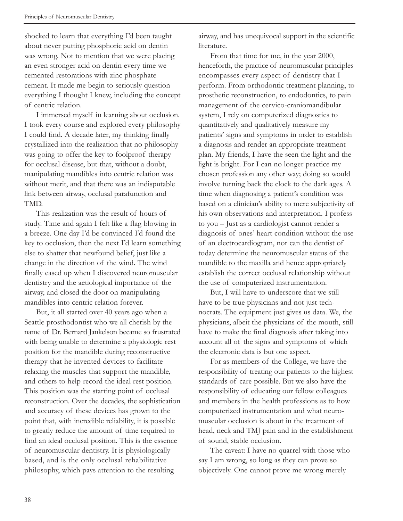shocked to learn that everything I'd been taught about never putting phosphoric acid on dentin was wrong. Not to mention that we were placing an even stronger acid on dentin every time we cemented restorations with zinc phosphate cement. It made me begin to seriously question everything I thought I knew, including the concept of centric relation.

I immersed myself in learning about occlusion. I took every course and explored every philosophy I could find. A decade later, my thinking finally crystallized into the realization that no philosophy was going to offer the key to foolproof therapy for occlusal disease, but that, without a doubt, manipulating mandibles into centric relation was without merit, and that there was an indisputable link between airway, occlusal parafunction and TMD.

This realization was the result of hours of study. Time and again I felt like a flag blowing in a breeze. One day I'd be convinced I'd found the key to occlusion, then the next I'd learn something else to shatter that newfound belief, just like a change in the direction of the wind. The wind finally eased up when I discovered neuromuscular dentistry and the aetiological importance of the airway, and closed the door on manipulating mandibles into centric relation forever.

But, it all started over 40 years ago when a Seattle prosthodontist who we all cherish by the name of Dr. Bernard Jankelson became so frustrated with being unable to determine a physiologic rest position for the mandible during reconstructive therapy that he invented devices to facilitate relaxing the muscles that support the mandible, and others to help record the ideal rest position. This position was the starting point of occlusal reconstruction. Over the decades, the sophistication and accuracy of these devices has grown to the point that, with incredible reliability, it is possible to greatly reduce the amount of time required to find an ideal occlusal position. This is the essence of neuromuscular dentistry. It is physiologically based, and is the only occlusal rehabilitative philosophy, which pays attention to the resulting

airway, and has unequivocal support in the scientific literature.

From that time for me, in the year 2000, henceforth, the practice of neuromuscular principles encompasses every aspect of dentistry that I perform. From orthodontic treatment planning, to prosthetic reconstruction, to endodontics, to pain management of the cervico-craniomandibular system, I rely on computerized diagnostics to quantitatively and qualitatively measure my patients' signs and symptoms in order to establish a diagnosis and render an appropriate treatment plan. My friends, I have the seen the light and the light is bright. For I can no longer practice my chosen profession any other way; doing so would involve turning back the clock to the dark ages. A time when diagnosing a patient's condition was based on a clinician's ability to mere subjectivity of his own observations and interpretation. I profess to you – Just as a cardiologist cannot render a diagnosis of ones' heart condition without the use of an electrocardiogram, nor can the dentist of today determine the neuromuscular status of the mandible to the maxilla and hence appropriately establish the correct occlusal relationship without the use of computerized instrumentation.

But, I will have to underscore that we still have to be true physicians and not just technocrats. The equipment just gives us data. We, the physicians, albeit the physicians of the mouth, still have to make the final diagnosis after taking into account all of the signs and symptoms of which the electronic data is but one aspect.

For as members of the College, we have the responsibility of treating our patients to the highest standards of care possible. But we also have the responsibility of educating our fellow colleagues and members in the health professions as to how computerized instrumentation and what neuromuscular occlusion is about in the treatment of head, neck and TMJ pain and in the establishment of sound, stable occlusion.

The caveat: I have no quarrel with those who say I am wrong, so long as they can prove so objectively. One cannot prove me wrong merely